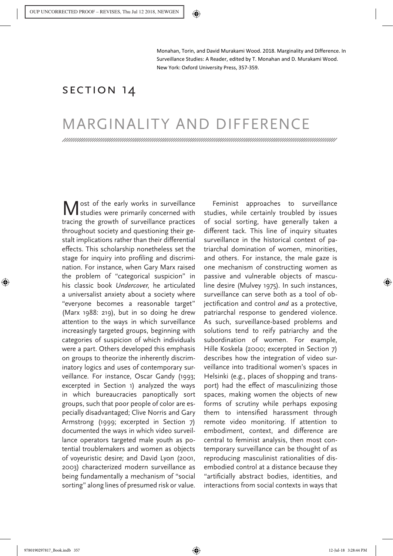Monahan, Torin, and David Murakami Wood. 2018. Marginality and Difference. In Surveillance Studies: A Reader, edited by T. Monahan and D. Murakami Wood. New York: Oxford University Press, 357-359.

## SECTION 14

## MARGINALITY AND DIFFERENCE

**M** ost of the early works in surveillance<br>studies were primarily concerned with tracing the growth of surveillance practices throughout society and questioning their gestalt implications rather than their differential effects. This scholarship nonetheless set the stage for inquiry into profiling and discrimination. For instance, when Gary Marx raised the problem of "categorical suspicion" in his classic book *Undercover*, he articulated a universalist anxiety about a society where "everyone becomes a reasonable target" (Marx 1988: 219), but in so doing he drew attention to the ways in which surveillance increasingly targeted groups, beginning with categories of suspicion of which individuals were a part. Others developed this emphasis on groups to theorize the inherently discriminatory logics and uses of contemporary surveillance. For instance, Oscar Gandy (1993; excerpted in Section 1) analyzed the ways in which bureaucracies panoptically sort groups, such that poor people of color are especially disadvantaged; Clive Norris and Gary Armstrong (1999; excerpted in Section 7) documented the ways in which video surveillance operators targeted male youth as potential troublemakers and women as objects of voyeuristic desire; and David Lyon (2001, 2003) characterized modern surveillance as being fundamentally a mechanism of "social sorting" along lines of presumed risk or value.

Feminist approaches to surveillance studies, while certainly troubled by issues of social sorting, have generally taken a different tack. This line of inquiry situates surveillance in the historical context of patriarchal domination of women, minorities, and others. For instance, the male gaze is one mechanism of constructing women as passive and vulnerable objects of masculine desire (Mulvey 1975). In such instances, surveillance can serve both as a tool of objectification and control *and* as a protective, patriarchal response to gendered violence. As such, surveillance-based problems and solutions tend to reify patriarchy and the subordination of women. For example, Hille Koskela (2000; excerpted in Section 7) describes how the integration of video surveillance into traditional women's spaces in Helsinki (e.g., places of shopping and transport) had the effect of masculinizing those spaces, making women the objects of new forms of scrutiny while perhaps exposing them to intensified harassment through remote video monitoring. If attention to embodiment, context, and difference are central to feminist analysis, then most contemporary surveillance can be thought of as reproducing masculinist rationalities of disembodied control at a distance because they "artificially abstract bodies, identities, and interactions from social contexts in ways that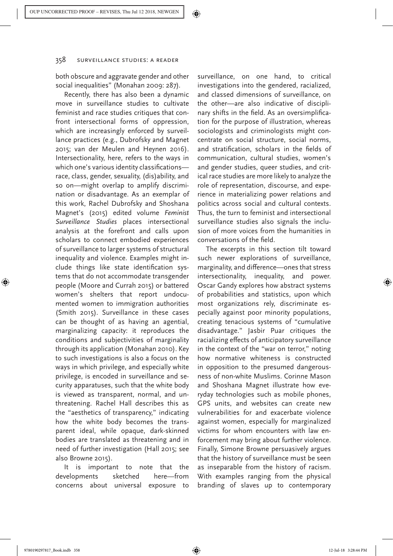both obscure and aggravate gender and other social inequalities" (Monahan 2009: 287).

Recently, there has also been a dynamic move in surveillance studies to cultivate feminist and race studies critiques that confront intersectional forms of oppression, which are increasingly enforced by surveillance practices (e.g., Dubrofsky and Magnet 2015; van der Meulen and Heynen 2016). Intersectionality, here, refers to the ways in which one's various identity classifications race, class, gender, sexuality, (dis)ability, and so on—might overlap to amplify discrimination or disadvantage. As an exemplar of this work, Rachel Dubrofsky and Shoshana Magnet's (2015) edited volume *Feminist Surveillance Studies* places intersectional analysis at the forefront and calls upon scholars to connect embodied experiences of surveillance to larger systems of structural inequality and violence. Examples might include things like state identification systems that do not accommodate transgender people (Moore and Currah 2015) or battered women's shelters that report undocumented women to immigration authorities (Smith 2015). Surveillance in these cases can be thought of as having an agential, marginalizing capacity: it reproduces the conditions and subjectivities of marginality through its application (Monahan 2010). Key to such investigations is also a focus on the ways in which privilege, and especially white privilege, is encoded in surveillance and security apparatuses, such that the white body is viewed as transparent, normal, and unthreatening. Rachel Hall describes this as the "aesthetics of transparency," indicating how the white body becomes the transparent ideal, while opaque, dark-skinned bodies are translated as threatening and in need of further investigation (Hall 2015; see also Browne 2015).

It is important to note that the developments sketched here—from concerns about universal exposure to surveillance, on one hand, to critical investigations into the gendered, racialized, and classed dimensions of surveillance, on the other—are also indicative of disciplinary shifts in the field. As an oversimplification for the purpose of illustration, whereas sociologists and criminologists might concentrate on social structure, social norms, and stratification, scholars in the fields of communication, cultural studies, women's and gender studies, queer studies, and critical race studies are more likely to analyze the role of representation, discourse, and experience in materializing power relations and politics across social and cultural contexts. Thus, the turn to feminist and intersectional surveillance studies also signals the inclusion of more voices from the humanities in conversations of the field.

The excerpts in this section tilt toward such newer explorations of surveillance, marginality, and difference—ones that stress intersectionality, inequality, and power. Oscar Gandy explores how abstract systems of probabilities and statistics, upon which most organizations rely, discriminate especially against poor minority populations, creating tenacious systems of "cumulative disadvantage." Jasbir Puar critiques the racializing effects of anticipatory surveillance in the context of the "war on terror," noting how normative whiteness is constructed in opposition to the presumed dangerousness of non-white Muslims. Corinne Mason and Shoshana Magnet illustrate how everyday technologies such as mobile phones, GPS units, and websites can create new vulnerabilities for and exacerbate violence against women, especially for marginalized victims for whom encounters with law enforcement may bring about further violence. Finally, Simone Browne persuasively argues that the history of surveillance must be seen as inseparable from the history of racism. With examples ranging from the physical branding of slaves up to contemporary